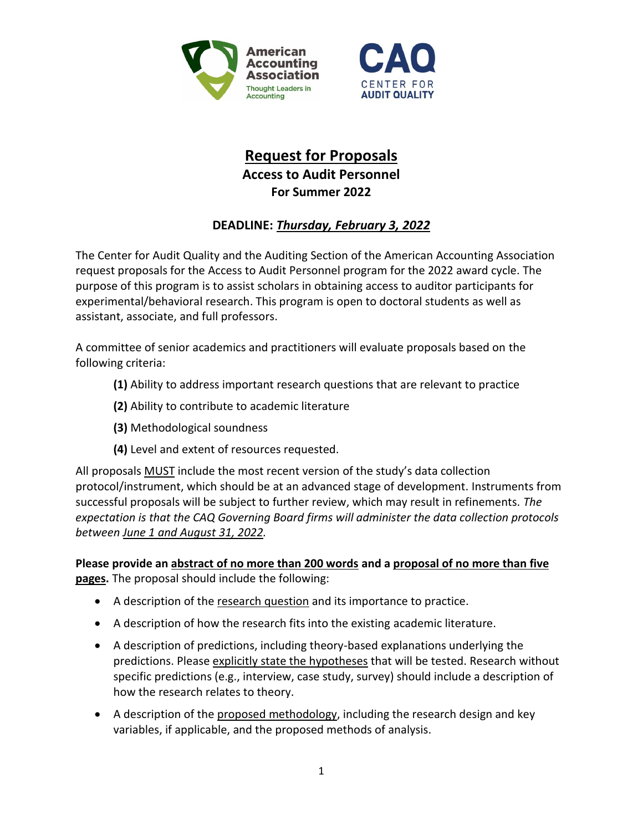



## **Request for Proposals Access to Audit Personnel For Summer 2022**

## **DEADLINE:** *Thursday, February 3, 2022*

The Center for Audit Quality and the Auditing Section of the American Accounting Association request proposals for the Access to Audit Personnel program for the 2022 award cycle. The purpose of this program is to assist scholars in obtaining access to auditor participants for experimental/behavioral research. This program is open to doctoral students as well as assistant, associate, and full professors.

A committee of senior academics and practitioners will evaluate proposals based on the following criteria:

- **(1)** Ability to address important research questions that are relevant to practice
- **(2)** Ability to contribute to academic literature
- **(3)** Methodological soundness
- **(4)** Level and extent of resources requested.

All proposals MUST include the most recent version of the study's data collection protocol/instrument, which should be at an advanced stage of development. Instruments from successful proposals will be subject to further review, which may result in refinements. *The expectation is that the CAQ Governing Board firms will administer the data collection protocols between June 1 and August 31, 2022.*

**Please provide an abstract of no more than 200 words and a proposal of no more than five pages.** The proposal should include the following:

- A description of the research question and its importance to practice.
- A description of how the research fits into the existing academic literature.
- A description of predictions, including theory-based explanations underlying the predictions. Please explicitly state the hypotheses that will be tested. Research without specific predictions (e.g., interview, case study, survey) should include a description of how the research relates to theory.
- A description of the proposed methodology, including the research design and key variables, if applicable, and the proposed methods of analysis.